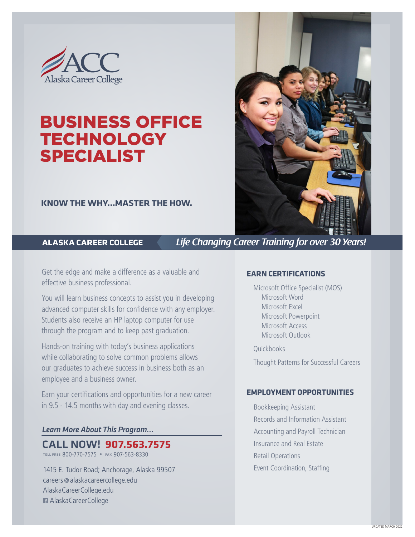

# BUSINESS OFFICE **TECHNOLOGY** SPECIALIST

### **KNOW THE WHY…MASTER THE HOW.**



**ALASKA CAREER COLLEGE** *Life Changing Career Training for over 30 Years!*

Get the edge and make a difference as a valuable and effective business professional.

You will learn business concepts to assist you in developing advanced computer skills for confidence with any employer. Students also receive an HP laptop computer for use through the program and to keep past graduation.

Hands-on training with today's business applications while collaborating to solve common problems allows our graduates to achieve success in business both as an employee and a business owner.

Earn your certifications and opportunities for a new career in 9.5 - 14.5 months with day and evening classes.

### *Learn More About This Program…*

### CALL NOW! **907.563.7575**

toll free 800-770-7575 • fax 907-563-8330

1415 E. Tudor Road; Anchorage, Alaska 99507 careers @alaskacareercollege.edu AlaskaCareerCollege.edu AlaskaCareerCollege

### **EARN CERTIFICATIONS**

Microsoft Office Specialist (MOS) Microsoft Word Microsoft Excel Microsoft Powerpoint Microsoft Access Microsoft Outlook

**Ouickbooks** 

Thought Patterns for Successful Careers

#### **EMPLOYMENT OPPORTUNITIES**

Bookkeeping Assistant Records and Information Assistant Accounting and Payroll Technician Insurance and Real Estate Retail Operations Event Coordination, Staffing